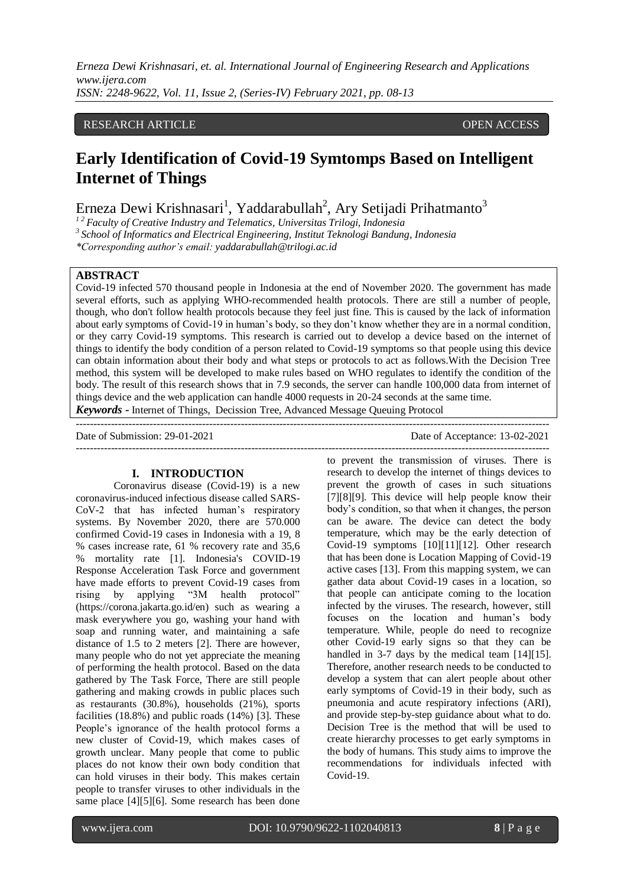### RESEARCH ARTICLE **CONSERVERS** OPEN ACCESS

# **Early Identification of Covid-19 Symtomps Based on Intelligent Internet of Things**

Erneza Dewi Krishnasari<sup>1</sup>, Yaddarabullah<sup>2</sup>, Ary Setijadi Prihatmanto<sup>3</sup>

*<sup>1</sup> <sup>2</sup> Faculty of Creative Industry and Telematics, Universitas Trilogi, Indonesia*

*3 School of Informatics and Electrical Engineering, Institut Teknologi Bandung, Indonesia*

*\*Corresponding author's email: yaddarabullah@trilogi.ac.id*

# **ABSTRACT**

Covid-19 infected 570 thousand people in Indonesia at the end of November 2020. The government has made several efforts, such as applying WHO-recommended health protocols. There are still a number of people, though, who don't follow health protocols because they feel just fine. This is caused by the lack of information about early symptoms of Covid-19 in human's body, so they don't know whether they are in a normal condition, or they carry Covid-19 symptoms. This research is carried out to develop a device based on the internet of things to identify the body condition of a person related to Covid-19 symptoms so that people using this device can obtain information about their body and what steps or protocols to act as follows.With the Decision Tree method, this system will be developed to make rules based on WHO regulates to identify the condition of the body. The result of this research shows that in 7.9 seconds, the server can handle 100,000 data from internet of things device and the web application can handle 4000 requests in 20-24 seconds at the same time.

 $-1-\frac{1}{2}$ 

*Keywords* **-** Internet of Things, Decission Tree, Advanced Message Queuing Protocol ---------------------------------------------------------------------------------------------------------------------------------------

Date of Submission: 29-01-2021 Date of Acceptance: 13-02-2021

#### **I. INTRODUCTION**

Coronavirus disease (Covid-19) is a new coronavirus-induced infectious disease called SARS-CoV-2 that has infected human's respiratory systems. By November 2020, there are 570.000 confirmed Covid-19 cases in Indonesia with a 19, 8 % cases increase rate, 61 % recovery rate and 35,6 % mortality rate [1]. Indonesia's COVID-19 Response Acceleration Task Force and government have made efforts to prevent Covid-19 cases from rising by applying "3M health protocol" (https://corona.jakarta.go.id/en) such as wearing a mask everywhere you go, washing your hand with soap and running water, and maintaining a safe distance of 1.5 to 2 meters [2]. There are however, many people who do not yet appreciate the meaning of performing the health protocol. Based on the data gathered by The Task Force, There are still people gathering and making crowds in public places such as restaurants (30.8%), households (21%), sports facilities (18.8%) and public roads (14%) [3]. These People's ignorance of the health protocol forms a new cluster of Covid-19, which makes cases of growth unclear. Many people that come to public places do not know their own body condition that can hold viruses in their body. This makes certain people to transfer viruses to other individuals in the same place [4][5][6]. Some research has been done

to prevent the transmission of viruses. There is research to develop the internet of things devices to prevent the growth of cases in such situations [7][8][9]. This device will help people know their body's condition, so that when it changes, the person can be aware. The device can detect the body temperature, which may be the early detection of Covid-19 symptoms [10][11][12]. Other research that has been done is Location Mapping of Covid-19 active cases [13]. From this mapping system, we can gather data about Covid-19 cases in a location, so that people can anticipate coming to the location infected by the viruses. The research, however, still focuses on the location and human's body temperature. While, people do need to recognize other Covid-19 early signs so that they can be handled in 3-7 days by the medical team [14][15]. Therefore, another research needs to be conducted to develop a system that can alert people about other early symptoms of Covid-19 in their body, such as pneumonia and acute respiratory infections (ARI), and provide step-by-step guidance about what to do. Decision Tree is the method that will be used to create hierarchy processes to get early symptoms in the body of humans. This study aims to improve the recommendations for individuals infected with Covid-19.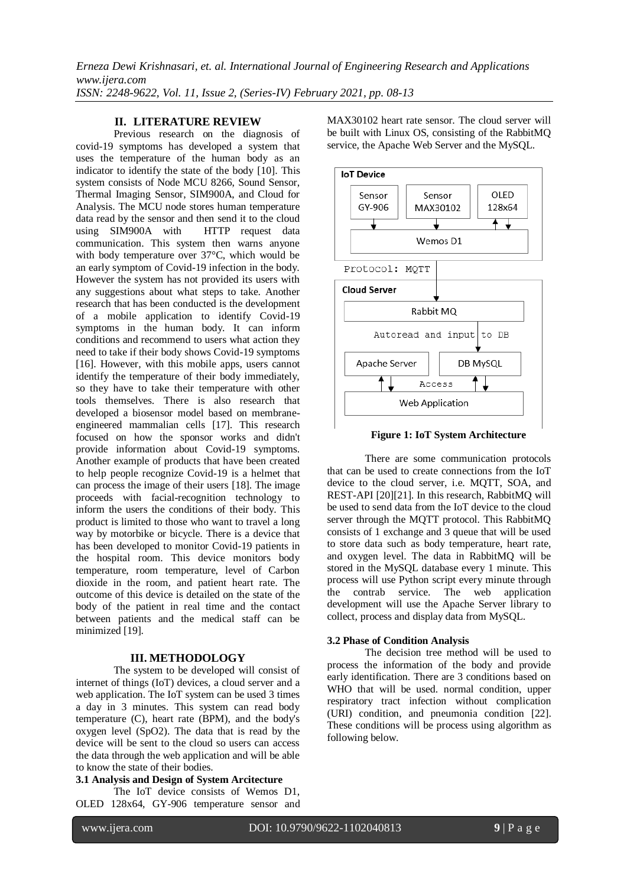## **II. LITERATURE REVIEW**

Previous research on the diagnosis of covid-19 symptoms has developed a system that uses the temperature of the human body as an indicator to identify the state of the body [10]. This system consists of Node MCU 8266, Sound Sensor, Thermal Imaging Sensor, SIM900A, and Cloud for Analysis. The MCU node stores human temperature data read by the sensor and then send it to the cloud using SIM900A with HTTP request data communication. This system then warns anyone with body temperature over 37°C, which would be an early symptom of Covid-19 infection in the body. However the system has not provided its users with any suggestions about what steps to take. Another research that has been conducted is the development of a mobile application to identify Covid-19 symptoms in the human body. It can inform conditions and recommend to users what action they need to take if their body shows Covid-19 symptoms [16]. However, with this mobile apps, users cannot identify the temperature of their body immediately, so they have to take their temperature with other tools themselves. There is also research that developed a biosensor model based on membraneengineered mammalian cells [17]. This research focused on how the sponsor works and didn't provide information about Covid-19 symptoms. Another example of products that have been created to help people recognize Covid-19 is a helmet that can process the image of their users [18]. The image proceeds with facial-recognition technology to inform the users the conditions of their body. This product is limited to those who want to travel a long way by motorbike or bicycle. There is a device that has been developed to monitor Covid-19 patients in the hospital room. This device monitors body temperature, room temperature, level of Carbon dioxide in the room, and patient heart rate. The outcome of this device is detailed on the state of the body of the patient in real time and the contact between patients and the medical staff can be minimized [19].

#### **III. METHODOLOGY**

The system to be developed will consist of internet of things (IoT) devices, a cloud server and a web application. The IoT system can be used 3 times a day in 3 minutes. This system can read body temperature (C), heart rate (BPM), and the body's oxygen level (SpO2). The data that is read by the device will be sent to the cloud so users can access the data through the web application and will be able to know the state of their bodies.

# **3.1 Analysis and Design of System Arcitecture**

The IoT device consists of Wemos D1, OLED 128x64, GY-906 temperature sensor and MAX30102 heart rate sensor. The cloud server will be built with Linux OS, consisting of the RabbitMQ service, the Apache Web Server and the MySQL.



**Figure 1: IoT System Architecture**

There are some communication protocols that can be used to create connections from the IoT device to the cloud server, i.e. MQTT, SOA, and REST-API [20][21]. In this research, RabbitMQ will be used to send data from the IoT device to the cloud server through the MQTT protocol. This RabbitMQ consists of 1 exchange and 3 queue that will be used to store data such as body temperature, heart rate, and oxygen level. The data in RabbitMQ will be stored in the MySQL database every 1 minute. This process will use Python script every minute through the contrab service. The web application development will use the Apache Server library to collect, process and display data from MySQL.

#### **3.2 Phase of Condition Analysis**

The decision tree method will be used to process the information of the body and provide early identification. There are 3 conditions based on WHO that will be used, normal condition, upper respiratory tract infection without complication (URI) condition, and pneumonia condition [22]. These conditions will be process using algorithm as following below.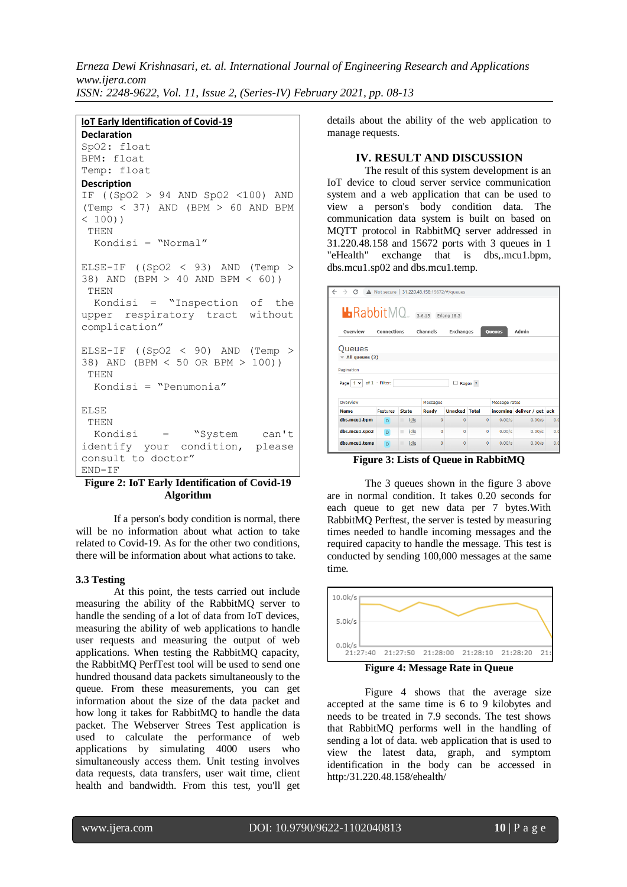# **IoT Early Identification of Covid-19**

**Declaration** SpO2: float BPM: float Temp: float **Description** IF ((SpO2 > 94 AND SpO2 <100) AND  $(Temp < 37)$  AND  $(BPM > 60$  AND BPM  $< 100)$ THEN Kondisi = "Normal" ELSE-IF  $((SpO2 < 93)$  AND  $(Temp >$ 38) AND (BPM > 40 AND BPM < 60)) THEN Kondisi = "Inspection of the upper respiratory tract without complication" ELSE-IF  $((SpO2 < 90)$  AND  $(Temp >$ 38) AND (BPM < 50 OR BPM > 100)) THEN Kondisi = "Penumonia" ELSE THEN Kondisi = "System can't identify your condition, please consult to doctor" END-IF

### **Figure 2: IoT Early Identification of Covid-19 Algorithm**

If a person's body condition is normal, there will be no information about what action to take related to Covid-19. As for the other two conditions, there will be information about what actions to take.

#### **3.3 Testing**

At this point, the tests carried out include measuring the ability of the RabbitMQ server to handle the sending of a lot of data from IoT devices, measuring the ability of web applications to handle user requests and measuring the output of web applications. When testing the RabbitMQ capacity, the RabbitMQ PerfTest tool will be used to send one hundred thousand data packets simultaneously to the queue. From these measurements, you can get information about the size of the data packet and how long it takes for RabbitMQ to handle the data packet. The Webserver Strees Test application is used to calculate the performance of web applications by simulating 4000 users who simultaneously access them. Unit testing involves data requests, data transfers, user wait time, client health and bandwidth. From this test, you'll get

details about the ability of the web application to manage requests.

#### **IV. RESULT AND DISCUSSION**

The result of this system development is an IoT device to cloud server service communication system and a web application that can be used to view a person's body condition data. The communication data system is built on based on MQTT protocol in RabbitMQ server addressed in 31.220.48.158 and 15672 ports with 3 queues in 1 "eHealth" exchange that is dbs,.mcu1.bpm, dbs.mcu1.sp02 and dbs.mcu1.temp.

| $\rightarrow$ C                                 |                 |              | A Not secure 31.220.48.158:15672/#/queues |                      |              |               |                            |     |
|-------------------------------------------------|-----------------|--------------|-------------------------------------------|----------------------|--------------|---------------|----------------------------|-----|
| $\blacksquare$ Rabbit $MO$                      |                 |              |                                           | Erlang 18.3          |              |               |                            |     |
| Overview                                        | Connections     |              | Channels                                  | Exchanges            |              | <b>Queues</b> | Admin                      |     |
| Queues                                          |                 |              |                                           |                      |              |               |                            |     |
| All queues (3)                                  |                 |              |                                           |                      |              |               |                            |     |
| Pagination<br>Page $ 1 \vee  $ of $1$ - Filter: |                 |              |                                           | U                    | Regex ?      |               |                            |     |
| Overview                                        | Messages        |              |                                           | Message rates        |              |               |                            |     |
| <b>Name</b>                                     | <b>Features</b> | <b>State</b> | Ready                                     | <b>Unacked Total</b> |              |               | incoming deliver / get ack |     |
| dbs.mcu1.bpm                                    | $\overline{D}$  | idle<br>Π    | $\mathbf{0}$                              | $\Omega$             | $\mathbf{0}$ | 0.00/s        | 0.00/s                     | 0.0 |
| dbs.mcu1.spo2                                   | D.              | idle<br>ш    | $\Omega$                                  | $\Omega$             | $\Omega$     | 0.00/s        | 0.00/s                     | 0.0 |
| dbs.mcu1.temp                                   | $\mathbf{D}$    | п<br>idle    | $\mathbf{0}$                              | $\mathbf{0}$         | $\mathbf{0}$ | 0.00/s        | 0.00/s                     | 0.0 |

**Figure 3: Lists of Queue in RabbitMQ**

The 3 queues shown in the figure 3 above are in normal condition. It takes 0.20 seconds for each queue to get new data per 7 bytes.With RabbitMQ Perftest, the server is tested by measuring times needed to handle incoming messages and the required capacity to handle the message. This test is conducted by sending 100,000 messages at the same time.



Figure 4 shows that the average size accepted at the same time is 6 to 9 kilobytes and needs to be treated in 7.9 seconds. The test shows that RabbitMQ performs well in the handling of sending a lot of data. web application that is used to view the latest data, graph, and symptom identification in the body can be accessed in http:/31.220.48.158/ehealth/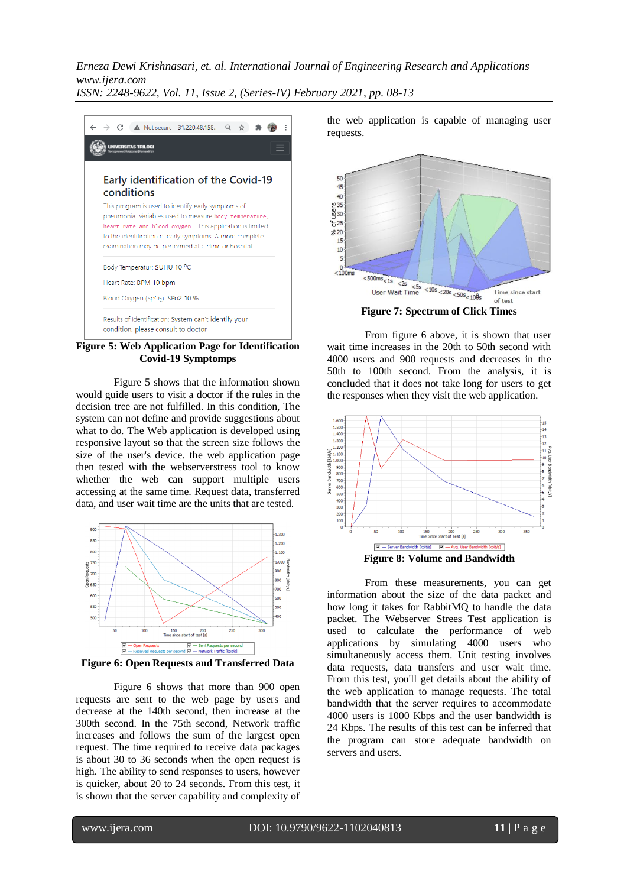C A Not secure 31.220.48.158... Q ☆  $\ddot{A}$ á. **TAS TRILOGI** Early identification of the Covid-19 conditions This program is used to identify early symptoms of pneumonia. Variables used to measure body temperature. heart rate and blood oxygen. This application is limited to the identification of early symptoms. A more complete examination may be performed at a clinic or hospital. Body Temperatur: SUHU 10 °C Heart Rate: BPM 10 bpm Blood Oxygen (SpO2): SPo2 10 % Results of identification: System can't identify your condition, please consult to doctor

**Figure 5: Web Application Page for Identification Covid-19 Symptomps**

Figure 5 shows that the information shown would guide users to visit a doctor if the rules in the decision tree are not fulfilled. In this condition, The system can not define and provide suggestions about what to do. The Web application is developed using responsive layout so that the screen size follows the size of the user's device. the web application page then tested with the webserverstress tool to know whether the web can support multiple users accessing at the same time. Request data, transferred data, and user wait time are the units that are tested.



**Figure 6: Open Requests and Transferred Data**

Figure 6 shows that more than 900 open requests are sent to the web page by users and decrease at the 140th second, then increase at the 300th second. In the 75th second, Network traffic increases and follows the sum of the largest open request. The time required to receive data packages is about 30 to 36 seconds when the open request is high. The ability to send responses to users, however is quicker, about 20 to 24 seconds. From this test, it is shown that the server capability and complexity of

the web application is capable of managing user requests.



From figure 6 above, it is shown that user wait time increases in the 20th to 50th second with 4000 users and 900 requests and decreases in the 50th to 100th second. From the analysis, it is concluded that it does not take long for users to get the responses when they visit the web application.



From these measurements, you can get information about the size of the data packet and how long it takes for RabbitMQ to handle the data packet. The Webserver Strees Test application is used to calculate the performance of web applications by simulating 4000 users who simultaneously access them. Unit testing involves data requests, data transfers and user wait time. From this test, you'll get details about the ability of the web application to manage requests. The total bandwidth that the server requires to accommodate 4000 users is 1000 Kbps and the user bandwidth is 24 Kbps. The results of this test can be inferred that the program can store adequate bandwidth on servers and users.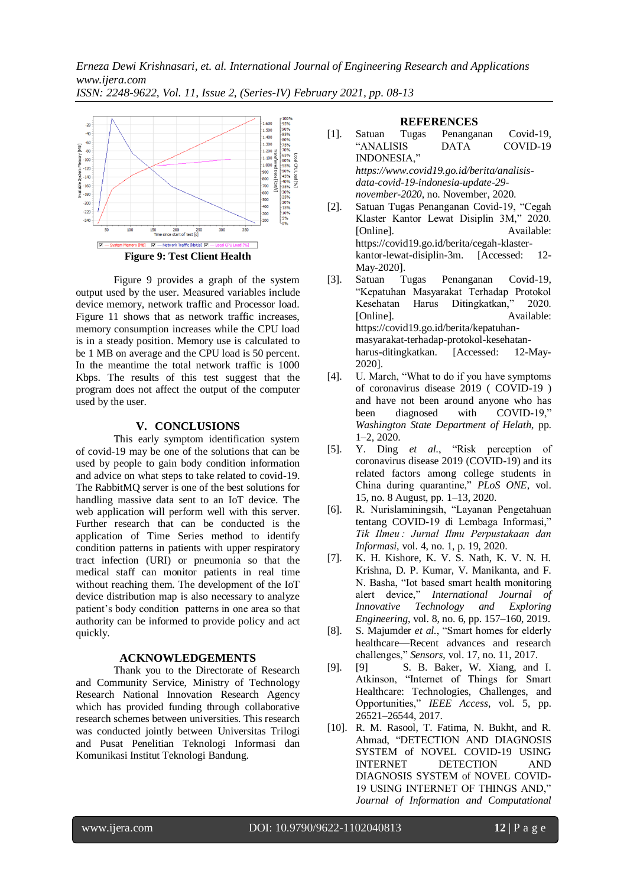

Figure 9 provides a graph of the system output used by the user. Measured variables include device memory, network traffic and Processor load. Figure 11 shows that as network traffic increases, memory consumption increases while the CPU load is in a steady position. Memory use is calculated to be 1 MB on average and the CPU load is 50 percent. In the meantime the total network traffic is 1000 Kbps. The results of this test suggest that the program does not affect the output of the computer used by the user.

# **V. CONCLUSIONS**

This early symptom identification system of covid-19 may be one of the solutions that can be used by people to gain body condition information and advice on what steps to take related to covid-19. The RabbitMQ server is one of the best solutions for handling massive data sent to an IoT device. The web application will perform well with this server. Further research that can be conducted is the application of Time Series method to identify condition patterns in patients with upper respiratory tract infection (URI) or pneumonia so that the medical staff can monitor patients in real time without reaching them. The development of the IoT device distribution map is also necessary to analyze patient's body condition patterns in one area so that authority can be informed to provide policy and act quickly.

#### **ACKNOWLEDGEMENTS**

Thank you to the Directorate of Research and Community Service, Ministry of Technology Research National Innovation Research Agency which has provided funding through collaborative research schemes between universities. This research was conducted jointly between Universitas Trilogi and Pusat Penelitian Teknologi Informasi dan Komunikasi Institut Teknologi Bandung.

#### **REFERENCES**

- [1]. Satuan Tugas Penanganan Covid-19, "ANALISIS DATA COVID-19 INDONESIA," *https://www.covid19.go.id/berita/analisisdata-covid-19-indonesia-update-29 november-2020*, no. November, 2020. [2]. Satuan Tugas Penanganan Covid-19, "Cegah
- Klaster Kantor Lewat Disiplin 3M," 2020. [Online]. Available: https://covid19.go.id/berita/cegah-klasterkantor-lewat-disiplin-3m. [Accessed: 12- May-2020].
- [3]. Satuan Tugas Penanganan Covid-19, "Kepatuhan Masyarakat Terhadap Protokol Kesehatan Harus Ditingkatkan," 2020. [Online]. Available: https://covid19.go.id/berita/kepatuhanmasyarakat-terhadap-protokol-kesehatanharus-ditingkatkan. [Accessed: 12-May-2020].
- [4]. U. March, "What to do if you have symptoms of coronavirus disease 2019 ( COVID-19 ) and have not been around anyone who has been diagnosed with COVID-19," *Washington State Department of Helath*, pp. 1–2, 2020.
- [5]. Y. Ding *et al.*, "Risk perception of coronavirus disease 2019 (COVID-19) and its related factors among college students in China during quarantine," *PLoS ONE*, vol. 15, no. 8 August, pp. 1–13, 2020.
- [6]. R. Nurislaminingsih, "Layanan Pengetahuan tentang COVID-19 di Lembaga Informasi," *Tik Ilmeu : Jurnal Ilmu Perpustakaan dan Informasi*, vol. 4, no. 1, p. 19, 2020.
- [7]. K. H. Kishore, K. V. S. Nath, K. V. N. H. Krishna, D. P. Kumar, V. Manikanta, and F. N. Basha, "Iot based smart health monitoring alert device," *International Journal of Innovative Technology and Exploring Engineering*, vol. 8, no. 6, pp. 157–160, 2019.
- [8]. S. Majumder *et al.*, "Smart homes for elderly healthcare—Recent advances and research challenges," *Sensors*, vol. 17, no. 11, 2017.
- [9]. [9] S. B. Baker, W. Xiang, and I. Atkinson, "Internet of Things for Smart Healthcare: Technologies, Challenges, and Opportunities," *IEEE Access*, vol. 5, pp. 26521–26544, 2017.
- [10]. R. M. Rasool, T. Fatima, N. Bukht, and R. Ahmad, "DETECTION AND DIAGNOSIS SYSTEM of NOVEL COVID-19 USING INTERNET DETECTION AND DIAGNOSIS SYSTEM of NOVEL COVID-19 USING INTERNET OF THINGS AND," *Journal of Information and Computational*